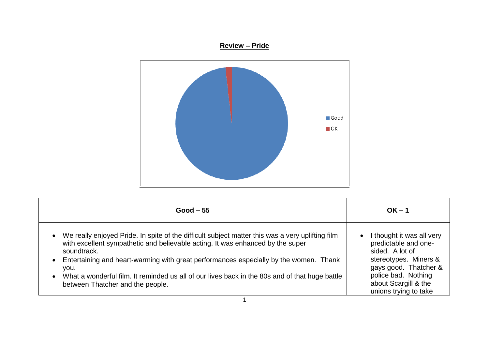## **Review – Pride**



| $Good - 55$                                                                                                                                                                                                                                                                                                                                                                                                                                                                     | $OK - 1$                                                                                                                                                                                                    |
|---------------------------------------------------------------------------------------------------------------------------------------------------------------------------------------------------------------------------------------------------------------------------------------------------------------------------------------------------------------------------------------------------------------------------------------------------------------------------------|-------------------------------------------------------------------------------------------------------------------------------------------------------------------------------------------------------------|
| We really enjoyed Pride. In spite of the difficult subject matter this was a very uplifting film<br>$\bullet$<br>with excellent sympathetic and believable acting. It was enhanced by the super<br>soundtrack.<br>Entertaining and heart-warming with great performances especially by the women. Thank<br>$\bullet$<br>you.<br>What a wonderful film. It reminded us all of our lives back in the 80s and of that huge battle<br>$\bullet$<br>between Thatcher and the people. | I thought it was all very<br>$\bullet$<br>predictable and one-<br>sided. A lot of<br>stereotypes. Miners &<br>gays good. Thatcher &<br>police bad. Nothing<br>about Scargill & the<br>unions trying to take |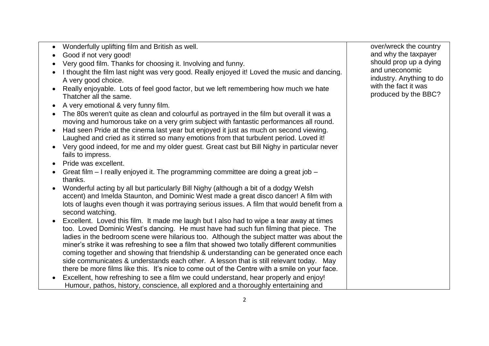- Wonderfully uplifting film and British as well.
- Good if not very good!
- Very good film. Thanks for choosing it. Involving and funny.
- I thought the film last night was very good. Really enjoved it! Loved the music and dancing. A very good choice.
- Really enjoyable. Lots of feel good factor, but we left remembering how much we hate Thatcher all the same.
- A very emotional & very funny film.
- The 80s weren't quite as clean and colourful as portrayed in the film but overall it was a moving and humorous take on a very grim subject with fantastic performances all round.
- Had seen Pride at the cinema last year but enjoyed it just as much on second viewing. Laughed and cried as it stirred so many emotions from that turbulent period. Loved it!
- Very good indeed, for me and my older guest. Great cast but Bill Nighy in particular never fails to impress.
- Pride was excellent.
- Great film I really enjoyed it. The programming committee are doing a great job thanks.
- Wonderful acting by all but particularly Bill Nighy (although a bit of a dodgy Welsh accent) and Imelda Staunton, and Dominic West made a great disco dancer! A film with lots of laughs even though it was portraying serious issues. A film that would benefit from a second watching.
- Excellent. Loved this film. It made me laugh but I also had to wipe a tear away at times too. Loved Dominic West's dancing. He must have had such fun filming that piece. The ladies in the bedroom scene were hilarious too. Although the subject matter was about the miner's strike it was refreshing to see a film that showed two totally different communities coming together and showing that friendship & understanding can be generated once each side communicates & understands each other. A lesson that is still relevant today. May there be more films like this. It's nice to come out of the Centre with a smile on your face.
- Excellent, how refreshing to see a film we could understand, hear properly and enjoy! Humour, pathos, history, conscience, all explored and a thoroughly entertaining and

over/wreck the country and why the taxpayer should prop up a dying and uneconomic industry. Anything to do with the fact it was produced by the BBC?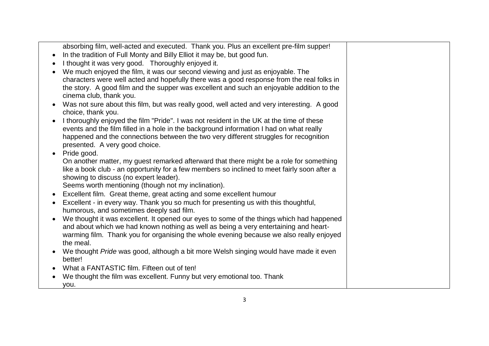| absorbing film, well-acted and executed. Thank you. Plus an excellent pre-film supper!                                                                                          |  |
|---------------------------------------------------------------------------------------------------------------------------------------------------------------------------------|--|
| In the tradition of Full Monty and Billy Elliot it may be, but good fun.                                                                                                        |  |
| I thought it was very good. Thoroughly enjoyed it.                                                                                                                              |  |
| We much enjoyed the film, it was our second viewing and just as enjoyable. The                                                                                                  |  |
| characters were well acted and hopefully there was a good response from the real folks in                                                                                       |  |
| the story. A good film and the supper was excellent and such an enjoyable addition to the                                                                                       |  |
| cinema club, thank you.                                                                                                                                                         |  |
| Was not sure about this film, but was really good, well acted and very interesting. A good                                                                                      |  |
| choice, thank you.                                                                                                                                                              |  |
| I thoroughly enjoyed the film "Pride". I was not resident in the UK at the time of these                                                                                        |  |
| events and the film filled in a hole in the background information I had on what really                                                                                         |  |
| happened and the connections between the two very different struggles for recognition                                                                                           |  |
| presented. A very good choice.                                                                                                                                                  |  |
| Pride good.                                                                                                                                                                     |  |
| On another matter, my guest remarked afterward that there might be a role for something                                                                                         |  |
| like a book club - an opportunity for a few members so inclined to meet fairly soon after a                                                                                     |  |
| showing to discuss (no expert leader).                                                                                                                                          |  |
| Seems worth mentioning (though not my inclination).                                                                                                                             |  |
| Excellent film. Great theme, great acting and some excellent humour                                                                                                             |  |
| Excellent - in every way. Thank you so much for presenting us with this thoughtful,                                                                                             |  |
| humorous, and sometimes deeply sad film.                                                                                                                                        |  |
| We thought it was excellent. It opened our eyes to some of the things which had happened                                                                                        |  |
| and about which we had known nothing as well as being a very entertaining and heart-<br>warming film. Thank you for organising the whole evening because we also really enjoyed |  |
| the meal.                                                                                                                                                                       |  |
| We thought Pride was good, although a bit more Welsh singing would have made it even                                                                                            |  |
| better!                                                                                                                                                                         |  |
| What a FANTASTIC film. Fifteen out of ten!                                                                                                                                      |  |
| We thought the film was excellent. Funny but very emotional too. Thank                                                                                                          |  |
| you.                                                                                                                                                                            |  |
|                                                                                                                                                                                 |  |